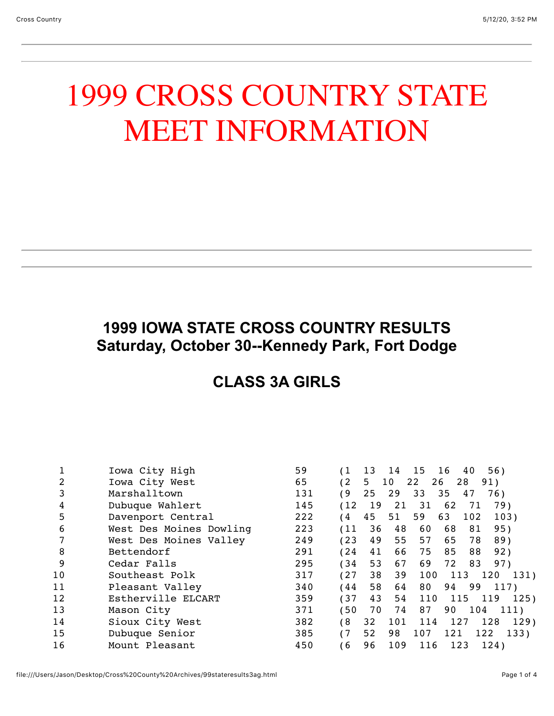# 1999 CROSS COUNTRY STATE MEET INFORMATION

## **1999 IOWA STATE CROSS COUNTRY RESULTS Saturday, October 30--Kennedy Park, Fort Dodge**

#### **CLASS 3A GIRLS**

|    | Iowa City High          | 59  |            | 13 | 14  | 15       | 16<br>40 | 56)         |      |
|----|-------------------------|-----|------------|----|-----|----------|----------|-------------|------|
|    | Iowa City West          | 65  | (2         | 5. | 10  | 22<br>26 | 28       | 91)         |      |
| 3  | Marshalltown            | 131 | 69         | 25 | 29  | 33       | 35<br>47 | 76)         |      |
| 4  | Dubuque Wahlert         | 145 | (12)       | 19 | 21  | -31      | 62       | 79)<br>71   |      |
| 5  | Davenport Central       | 222 | 4          | 45 | 51  | 59       | 63       | 102<br>103) |      |
| 6  | West Des Moines Dowling | 223 | (11)       | 36 | 48  | 60       | 68       | 81<br>95)   |      |
|    | West Des Moines Valley  | 249 | (23)       | 49 | 55  | 57       | 65       | 78<br>89)   |      |
| 8  | Bettendorf              | 291 | (24        | 41 | 66  | 75       | 85       | 88<br>92)   |      |
| 9  | Cedar Falls             | 295 | 34         | 53 | 67  | 69       | 72       | 83<br>97)   |      |
| 10 | Southeast Polk          | 317 | (27)       | 38 | 39  | 100      | 113      | 120         | 131) |
| 11 | Pleasant Valley         | 340 | 44         | 58 | 64  | 80       | 94       | 99<br>117)  |      |
| 12 | Estherville ELCART      | 359 | (37        | 43 | 54  | 110      | 115      | 119         | 125) |
| 13 | Mason City              | 371 | $50^\circ$ | 70 | 74  | 87       | 90       | 104         | 111) |
| 14 | Sioux City West         | 382 | 68         | 32 | 101 | 114      | 127      | 128         | 129) |
| 15 | Dubuque Senior          | 385 | (7)        | 52 | 98  | 107      | 121      | 122         | 133) |
| 16 | Mount Pleasant          | 450 | 6          | 96 | 109 | 116      | 123      | 124)        |      |
|    |                         |     |            |    |     |          |          |             |      |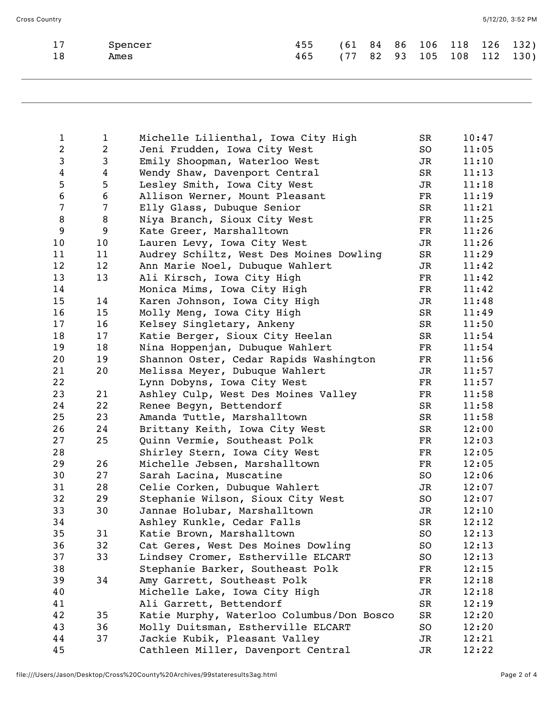| 17 Spencer | 455 (61 84 86 106 118 126 132) |  |  |  |  |
|------------|--------------------------------|--|--|--|--|
| Ames       | 465 (77 82 93 105 108 112 130) |  |  |  |  |

| $\mathbf{1}$            | $\mathbf{1}$   | Michelle Lilienthal, Iowa City High       | SR                       | 10:47 |
|-------------------------|----------------|-------------------------------------------|--------------------------|-------|
| $\overline{\mathbf{c}}$ | $\overline{2}$ | Jeni Frudden, Iowa City West              | SO                       | 11:05 |
| $\mathsf 3$             | 3              | Emily Shoopman, Waterloo West             | JR                       | 11:10 |
| $\overline{\mathbf{4}}$ | 4              | Wendy Shaw, Davenport Central             | SR                       | 11:13 |
| 5                       | 5              | Lesley Smith, Iowa City West              | JR                       | 11:18 |
| $\sqrt{6}$              | 6              | Allison Werner, Mount Pleasant            | $_{\rm FR}$              | 11:19 |
| $\overline{7}$          | 7              | Elly Glass, Dubuque Senior                | SR                       | 11:21 |
| $\, 8$                  | 8              | Niya Branch, Sioux City West              | $_{\rm FR}$              | 11:25 |
| $\boldsymbol{9}$        | 9              | Kate Greer, Marshalltown                  | $_{\rm FR}$              | 11:26 |
| 10                      | 10             | Lauren Levy, Iowa City West               | JR                       | 11:26 |
| 11                      | 11             | Audrey Schiltz, West Des Moines Dowling   | SR                       | 11:29 |
| 12                      | 12             | Ann Marie Noel, Dubuque Wahlert           | JR                       | 11:42 |
| 13                      | 13             | Ali Kirsch, Iowa City High                | $_{\rm FR}$              | 11:42 |
| 14                      |                | Monica Mims, Iowa City High               | FR                       | 11:42 |
| 15                      | 14             | Karen Johnson, Iowa City High             | JR                       | 11:48 |
| 16                      | 15             | Molly Meng, Iowa City High                | SR                       | 11:49 |
| 17                      | 16             | Kelsey Singletary, Ankeny                 | SR                       | 11:50 |
| 18                      | 17             | Katie Berger, Sioux City Heelan           | SR                       | 11:54 |
| 19                      | 18             | Nina Hoppenjan, Dubuque Wahlert           | $\mathbf{FR}$            | 11:54 |
| 20                      | 19             | Shannon Oster, Cedar Rapids Washington    | $\mathbf{FR}$            | 11:56 |
| 21                      | 20             | Melissa Meyer, Dubuque Wahlert            | JR                       | 11:57 |
| 22                      |                | Lynn Dobyns, Iowa City West               | $_{\rm FR}$              | 11:57 |
| 23                      | 21             | Ashley Culp, West Des Moines Valley       | FR                       | 11:58 |
| 24                      | 22             | Renee Begyn, Bettendorf                   | SR                       | 11:58 |
| 25                      | 23             | Amanda Tuttle, Marshalltown               | SR                       | 11:58 |
| 26                      | 24             | Brittany Keith, Iowa City West            | SR                       | 12:00 |
| 27                      | 25             | Quinn Vermie, Southeast Polk              | $_{\rm FR}$              | 12:03 |
| 28                      |                | Shirley Stern, Iowa City West             | $_{\rm FR}$              | 12:05 |
| 29                      | 26             | Michelle Jebsen, Marshalltown             | $\overline{\mathrm{FR}}$ | 12:05 |
| 30                      | 27             | Sarah Lacina, Muscatine                   | SO                       | 12:06 |
| 31                      | 28             | Celie Corken, Dubuque Wahlert             | JR                       | 12:07 |
| 32                      | 29             | Stephanie Wilson, Sioux City West         | SO                       | 12:07 |
| 33                      | 30             | Jannae Holubar, Marshalltown              | JR                       | 12:10 |
| 34                      |                | Ashley Kunkle, Cedar Falls                | ${\tt SR}$               | 12:12 |
| 35                      | 31             | Katie Brown, Marshalltown                 | S <sub>O</sub>           | 12:13 |
| 36                      | 32             | Cat Geres, West Des Moines Dowling        | SO                       | 12:13 |
| 37                      | 33             | Lindsey Cromer, Estherville ELCART        | SO.                      | 12:13 |
| 38                      |                | Stephanie Barker, Southeast Polk          | FR                       | 12:15 |
| 39                      | 34             | Amy Garrett, Southeast Polk               | FR                       | 12:18 |
| 40                      |                | Michelle Lake, Iowa City High             | JR                       | 12:18 |
| 41                      |                | Ali Garrett, Bettendorf                   | SR                       | 12:19 |
| 42                      | 35             | Katie Murphy, Waterloo Columbus/Don Bosco | SR                       | 12:20 |
| 43                      | 36             | Molly Duitsman, Estherville ELCART        | SO                       | 12:20 |
| 44                      | 37             | Jackie Kubik, Pleasant Valley             | JR                       | 12:21 |
| 45                      |                | Cathleen Miller, Davenport Central        | JR                       | 12:22 |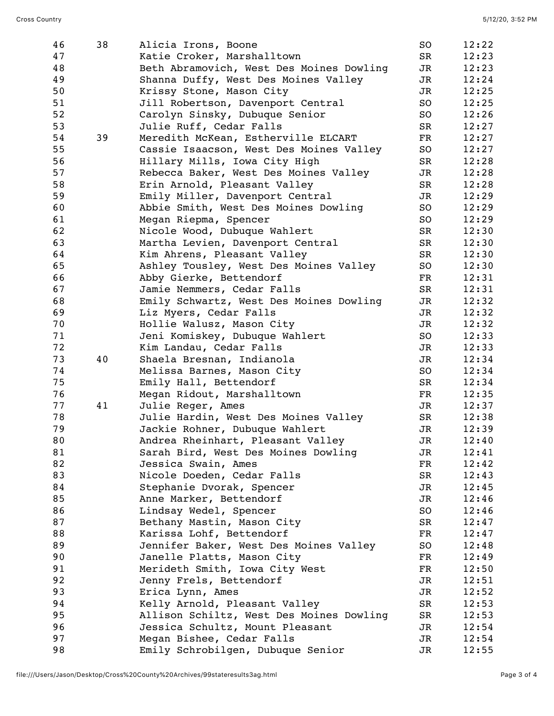| 46 | 38 | Alicia Irons, Boone                      | SO             | 12:22 |
|----|----|------------------------------------------|----------------|-------|
| 47 |    | Katie Croker, Marshalltown               | SR             | 12:23 |
| 48 |    | Beth Abramovich, West Des Moines Dowling | JR             | 12:23 |
| 49 |    | Shanna Duffy, West Des Moines Valley     | JR             | 12:24 |
| 50 |    | Krissy Stone, Mason City                 | JR             | 12:25 |
| 51 |    | Jill Robertson, Davenport Central        | SO             | 12:25 |
| 52 |    | Carolyn Sinsky, Dubuque Senior           | SO             | 12:26 |
| 53 |    | Julie Ruff, Cedar Falls                  | SR             | 12:27 |
| 54 | 39 | Meredith McKean, Estherville ELCART      | FR             | 12:27 |
| 55 |    | Cassie Isaacson, West Des Moines Valley  | SO             | 12:27 |
| 56 |    | Hillary Mills, Iowa City High            | SR             | 12:28 |
| 57 |    | Rebecca Baker, West Des Moines Valley    | JR             | 12:28 |
| 58 |    | Erin Arnold, Pleasant Valley             | SR             | 12:28 |
| 59 |    | Emily Miller, Davenport Central          | JR             | 12:29 |
| 60 |    | Abbie Smith, West Des Moines Dowling     | SO             | 12:29 |
| 61 |    | Megan Riepma, Spencer                    | SO             | 12:29 |
| 62 |    | Nicole Wood, Dubuque Wahlert             | SR             | 12:30 |
| 63 |    | Martha Levien, Davenport Central         | SR             | 12:30 |
| 64 |    | Kim Ahrens, Pleasant Valley              | SR             | 12:30 |
| 65 |    | Ashley Tousley, West Des Moines Valley   | SO             | 12:30 |
| 66 |    | Abby Gierke, Bettendorf                  | FR             | 12:31 |
| 67 |    | Jamie Nemmers, Cedar Falls               | SR             | 12:31 |
| 68 |    | Emily Schwartz, West Des Moines Dowling  | JR             | 12:32 |
| 69 |    | Liz Myers, Cedar Falls                   | JR             | 12:32 |
| 70 |    | Hollie Walusz, Mason City                | JR             | 12:32 |
| 71 |    | Jeni Komiskey, Dubuque Wahlert           | SO             | 12:33 |
| 72 |    | Kim Landau, Cedar Falls                  | JR             | 12:33 |
| 73 | 40 | Shaela Bresnan, Indianola                | JR             | 12:34 |
| 74 |    | Melissa Barnes, Mason City               | SO             | 12:34 |
| 75 |    | Emily Hall, Bettendorf                   | SR             | 12:34 |
| 76 |    | Megan Ridout, Marshalltown               | FR             | 12:35 |
| 77 | 41 | Julie Reger, Ames                        | JR             | 12:37 |
| 78 |    | Julie Hardin, West Des Moines Valley     | SR             | 12:38 |
| 79 |    | Jackie Rohner, Dubuque Wahlert           | JR             | 12:39 |
| 80 |    | Andrea Rheinhart, Pleasant Valley        | JR             | 12:40 |
| 81 |    | Sarah Bird, West Des Moines Dowling      | JR             | 12:41 |
| 82 |    | Jessica Swain, Ames                      | FR             | 12:42 |
| 83 |    | Nicole Doeden, Cedar Falls               | SR             | 12:43 |
| 84 |    | Stephanie Dvorak, Spencer                | JR             | 12:45 |
| 85 |    | Anne Marker, Bettendorf                  | JR             | 12:46 |
| 86 |    | Lindsay Wedel, Spencer                   | SO             | 12:46 |
| 87 |    | Bethany Mastin, Mason City               | SR             | 12:47 |
| 88 |    | Karissa Lohf, Bettendorf                 | FR             | 12:47 |
| 89 |    | Jennifer Baker, West Des Moines Valley   | SO             | 12:48 |
| 90 |    | Janelle Platts, Mason City               | FR             | 12:49 |
| 91 |    | Merideth Smith, Iowa City West           | FR             | 12:50 |
| 92 |    | Jenny Frels, Bettendorf                  | JR             | 12:51 |
| 93 |    | Erica Lynn, Ames                         | JR             | 12:52 |
| 94 |    | Kelly Arnold, Pleasant Valley            | SR             | 12:53 |
| 95 |    | Allison Schiltz, West Des Moines Dowling | SR             | 12:53 |
| 96 |    | Jessica Schultz, Mount Pleasant          | JR             | 12:54 |
| 97 |    | Megan Bishee, Cedar Falls                | JR             | 12:54 |
| 98 |    | Emily Schrobilgen, Dubuque Senior        | J <sub>R</sub> | 12:55 |
|    |    |                                          |                |       |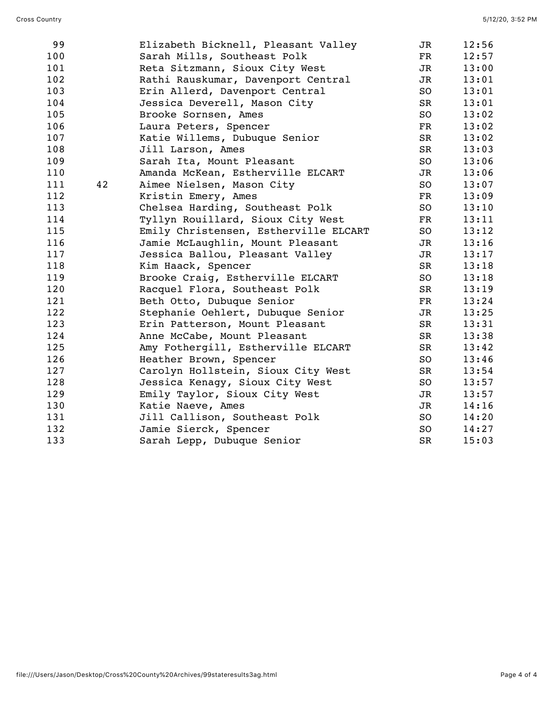| 99  |    | Elizabeth Bicknell, Pleasant Valley   | JR            | 12:56 |
|-----|----|---------------------------------------|---------------|-------|
| 100 |    | Sarah Mills, Southeast Polk           | FR            | 12:57 |
| 101 |    | Reta Sitzmann, Sioux City West        | JR            | 13:00 |
| 102 |    | Rathi Rauskumar, Davenport Central    | JR            | 13:01 |
| 103 |    | Erin Allerd, Davenport Central        | SO            | 13:01 |
| 104 |    | Jessica Deverell, Mason City          | SR            | 13:01 |
| 105 |    | Brooke Sornsen, Ames                  | SO            | 13:02 |
| 106 |    | Laura Peters, Spencer                 | $\mathbf{FR}$ | 13:02 |
| 107 |    | Katie Willems, Dubuque Senior         | SR            | 13:02 |
| 108 |    | Jill Larson, Ames                     | SR            | 13:03 |
| 109 |    | Sarah Ita, Mount Pleasant             | SO            | 13:06 |
| 110 |    | Amanda McKean, Estherville ELCART     | JR            | 13:06 |
| 111 | 42 | Aimee Nielsen, Mason City             | SO            | 13:07 |
| 112 |    | Kristin Emery, Ames                   | $\mathbf{FR}$ | 13:09 |
| 113 |    | Chelsea Harding, Southeast Polk       | SO            | 13:10 |
| 114 |    | Tyllyn Rouillard, Sioux City West     | $\mathbf{FR}$ | 13:11 |
| 115 |    | Emily Christensen, Estherville ELCART | SO            | 13:12 |
| 116 |    | Jamie McLaughlin, Mount Pleasant      | JR            | 13:16 |
| 117 |    | Jessica Ballou, Pleasant Valley       | JR            | 13:17 |
| 118 |    | Kim Haack, Spencer                    | SR            | 13:18 |
| 119 |    | Brooke Craig, Estherville ELCART      | SO            | 13:18 |
| 120 |    | Racquel Flora, Southeast Polk         | SR            | 13:19 |
| 121 |    | Beth Otto, Dubuque Senior             | FR            | 13:24 |
| 122 |    | Stephanie Oehlert, Dubuque Senior     | JR            | 13:25 |
| 123 |    | Erin Patterson, Mount Pleasant        | SR            | 13:31 |
| 124 |    | Anne McCabe, Mount Pleasant           | SR            | 13:38 |
| 125 |    | Amy Fothergill, Estherville ELCART    | SR            | 13:42 |
| 126 |    | Heather Brown, Spencer                | SO            | 13:46 |
| 127 |    | Carolyn Hollstein, Sioux City West    | SR            | 13:54 |
| 128 |    | Jessica Kenagy, Sioux City West       | SO            | 13:57 |
| 129 |    | Emily Taylor, Sioux City West         | JR            | 13:57 |
| 130 |    | Katie Naeve, Ames                     | JR            | 14:16 |
| 131 |    | Jill Callison, Southeast Polk         | SO            | 14:20 |
| 132 |    | Jamie Sierck, Spencer                 | SO.           | 14:27 |
| 133 |    | Sarah Lepp, Dubuque Senior            | SR            | 15:03 |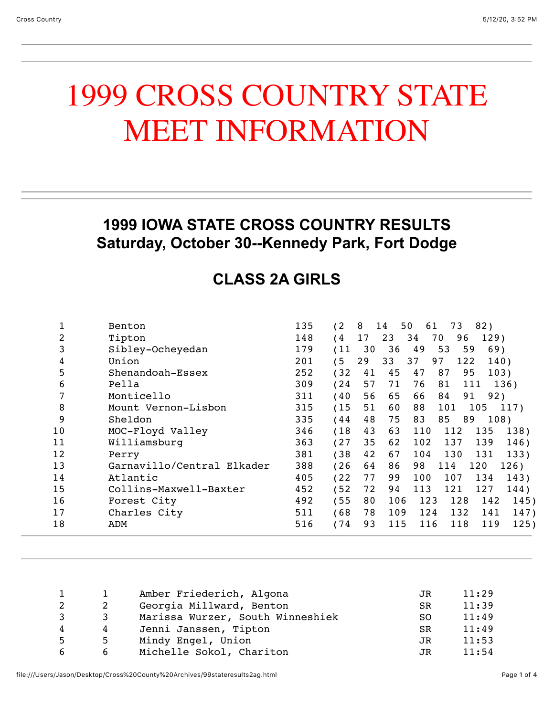## 1999 CROSS COUNTRY STATE MEET INFORMATION

#### **1999 IOWA STATE CROSS COUNTRY RESULTS Saturday, October 30--Kennedy Park, Fort Dodge**

## **CLASS 2A GIRLS**

|    | Benton                     | 135 | (2)          | 8  | 50<br>14 | 61  | 73        | 82)  |      |
|----|----------------------------|-----|--------------|----|----------|-----|-----------|------|------|
| 2  | Tipton                     | 148 | '4           | 17 | 23       | 34  | 96<br>70  | 129) |      |
| 3  | Sibley-Ocheyedan           | 179 | (11)         | 30 | 36       | 49  | 59<br>53  | 69)  |      |
| 4  | Union                      | 201 | $^{\prime}5$ | 29 | 33       | 37  | 122<br>97 | 140) |      |
| 5  | Shenandoah-Essex           | 252 | (32)         | 41 | 45       | 47  | 95<br>87  | 103) |      |
| 6  | Pella                      | 309 | (24)         | 57 | 71       | 76  | 81        | 111  | 136) |
| 7  | Monticello                 | 311 | (40          | 56 | 65       | 66  | 84<br>91  | 92)  |      |
| 8  | Mount Vernon-Lisbon        | 315 | (15)         | 51 | 60       | 88  | 101       | 105  | 117) |
| 9  | Sheldon                    | 335 | 44           | 48 | 75       | 83  | 85<br>89  | 108) |      |
| 10 | MOC-Floyd Valley           | 346 | (18)         | 43 | 63       | 110 | 112       | 135  | 138) |
| 11 | Williamsburg               | 363 | (27)         | 35 | 62       | 102 | 137       | 139  | 146) |
| 12 | Perry                      | 381 | 38           | 42 | 67       | 104 | 130       | 131  | 133) |
| 13 | Garnavillo/Central Elkader | 388 | (26)         | 64 | 86       | 98  | 114       | 120  | 126) |
| 14 | Atlantic                   | 405 | 22           | 77 | 99       | 100 | 107       | 134  | 143) |
| 15 | Collins-Maxwell-Baxter     | 452 | 52           | 72 | 94       | 113 | 121       | 127  | 144) |
| 16 | Forest City                | 492 | (55)         | 80 | 106      | 123 | 128       | 142  | 145) |
| 17 | Charles City               | 511 | (68)         | 78 | 109      | 124 | 132       | 141  | 147) |
| 18 | ADM                        | 516 | (74)         | 93 | 115      | 116 | 118       | 119  | 125) |
|    |                            |     |              |    |          |     |           |      |      |

|    |    | Amber Friederich, Algona         | JR.       | 11:29 |
|----|----|----------------------------------|-----------|-------|
|    |    | Georgia Millward, Benton         | <b>SR</b> | 11:39 |
| 3. | 3  | Marissa Wurzer, South Winneshiek | SO.       | 11:49 |
| 4  | 4  | Jenni Janssen, Tipton            | <b>SR</b> | 11:49 |
| 5. | 5. | Mindy Engel, Union               | JR        | 11:53 |
| 6  | 6  | Michelle Sokol, Chariton         | JR.       | 11:54 |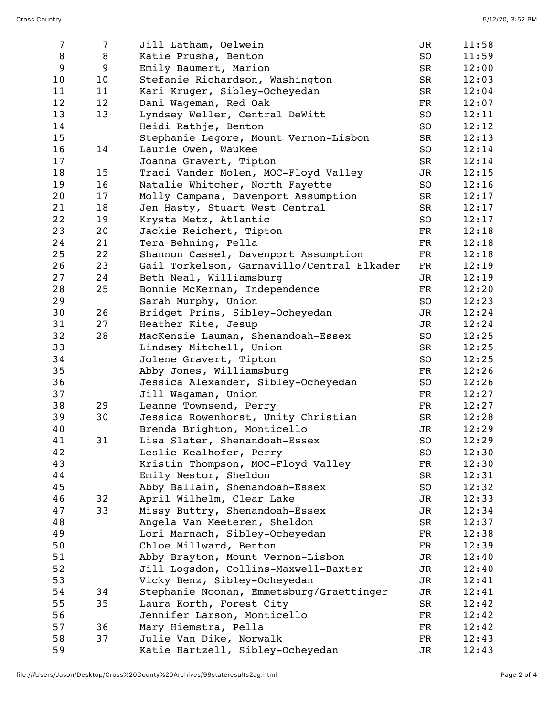| 7  | $\overline{7}$ | Jill Latham, Oelwein                       | JR | 11:58 |
|----|----------------|--------------------------------------------|----|-------|
| 8  | 8              | Katie Prusha, Benton                       | SO | 11:59 |
| 9  | 9              | Emily Baumert, Marion                      | SR | 12:00 |
| 10 | 10             | Stefanie Richardson, Washington            | SR | 12:03 |
| 11 | 11             | Kari Kruger, Sibley-Ocheyedan              | SR | 12:04 |
| 12 | 12             | Dani Wageman, Red Oak                      | FR | 12:07 |
| 13 | 13             | Lyndsey Weller, Central DeWitt             | SO | 12:11 |
| 14 |                | Heidi Rathje, Benton                       | SO | 12:12 |
| 15 |                | Stephanie Legore, Mount Vernon-Lisbon      | SR | 12:13 |
| 16 | 14             | Laurie Owen, Waukee                        | SO | 12:14 |
| 17 |                | Joanna Gravert, Tipton                     | SR | 12:14 |
| 18 | 15             | Traci Vander Molen, MOC-Floyd Valley       | JR | 12:15 |
| 19 | 16             | Natalie Whitcher, North Fayette            | SO | 12:16 |
| 20 | 17             | Molly Campana, Davenport Assumption        | SR | 12:17 |
| 21 | 18             | Jen Hasty, Stuart West Central             | SR | 12:17 |
| 22 | 19             | Krysta Metz, Atlantic                      | SO | 12:17 |
| 23 | 20             | Jackie Reichert, Tipton                    | FR | 12:18 |
| 24 | 21             | Tera Behning, Pella                        | FR | 12:18 |
| 25 | 22             | Shannon Cassel, Davenport Assumption       | FR | 12:18 |
| 26 | 23             | Gail Torkelson, Garnavillo/Central Elkader | FR | 12:19 |
| 27 | 24             | Beth Neal, Williamsburg                    | JR | 12:19 |
| 28 | 25             | Bonnie McKernan, Independence              | FR | 12:20 |
| 29 |                | Sarah Murphy, Union                        | SO | 12:23 |
| 30 | 26             | Bridget Prins, Sibley-Ocheyedan            | JR | 12:24 |
| 31 | 27             | Heather Kite, Jesup                        | JR | 12:24 |
| 32 | 28             | MacKenzie Lauman, Shenandoah-Essex         | SO | 12:25 |
| 33 |                | Lindsey Mitchell, Union                    | SR | 12:25 |
| 34 |                | Jolene Gravert, Tipton                     | SO | 12:25 |
| 35 |                | Abby Jones, Williamsburg                   | FR | 12:26 |
| 36 |                | Jessica Alexander, Sibley-Ocheyedan        | SO | 12:26 |
| 37 |                | Jill Wagaman, Union                        | FR | 12:27 |
| 38 | 29             | Leanne Townsend, Perry                     | FR | 12:27 |
| 39 | 30             | Jessica Rowenhorst, Unity Christian        | SR | 12:28 |
| 40 |                | Brenda Brighton, Monticello                | JR | 12:29 |
| 41 | 31             | Lisa Slater, Shenandoah-Essex              | SO | 12:29 |
| 42 |                | Leslie Kealhofer, Perry                    | SO | 12:30 |
| 43 |                | Kristin Thompson, MOC-Floyd Valley         | FR | 12:30 |
| 44 |                | Emily Nestor, Sheldon                      | SR | 12:31 |
| 45 |                | Abby Ballain, Shenandoah-Essex             | SO | 12:32 |
| 46 | 32             | April Wilhelm, Clear Lake                  | JR | 12:33 |
| 47 | 33             | Missy Buttry, Shenandoah-Essex             | JR | 12:34 |
| 48 |                | Angela Van Meeteren, Sheldon               | SR | 12:37 |
| 49 |                | Lori Marnach, Sibley-Ocheyedan             | FR | 12:38 |
| 50 |                | Chloe Millward, Benton                     | FR | 12:39 |
| 51 |                | Abby Brayton, Mount Vernon-Lisbon          | JR | 12:40 |
| 52 |                | Jill Logsdon, Collins-Maxwell-Baxter       | JR | 12:40 |
| 53 |                | Vicky Benz, Sibley-Ocheyedan               | JR | 12:41 |
| 54 | 34             | Stephanie Noonan, Emmetsburg/Graettinger   | JR | 12:41 |
| 55 | 35             | Laura Korth, Forest City                   | SR | 12:42 |
| 56 |                | Jennifer Larson, Monticello                | FR | 12:42 |
| 57 | 36             | Mary Hiemstra, Pella                       | FR | 12:42 |
| 58 | 37             | Julie Van Dike, Norwalk                    | FR | 12:43 |
| 59 |                | Katie Hartzell, Sibley-Ocheyedan           | JR | 12:43 |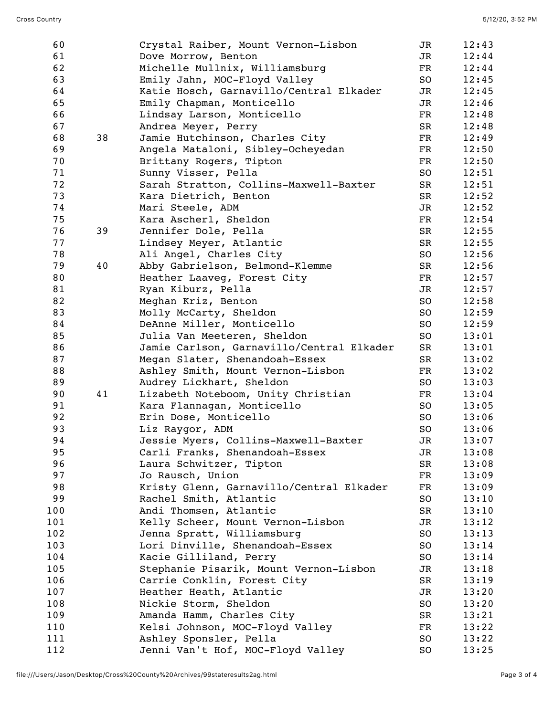| 60  |    | Crystal Raiber, Mount Vernon-Lisbon       | JR          | 12:43          |
|-----|----|-------------------------------------------|-------------|----------------|
| 61  |    | Dove Morrow, Benton                       | JR          | 12:44          |
| 62  |    | Michelle Mullnix, Williamsburg            | FR          | 12:44          |
| 63  |    | Emily Jahn, MOC-Floyd Valley              | SO          | 12:45          |
| 64  |    | Katie Hosch, Garnavillo/Central Elkader   | JR          | 12:45          |
| 65  |    | Emily Chapman, Monticello                 | JR          | 12:46          |
| 66  |    | Lindsay Larson, Monticello                | $_{\rm FR}$ | 12:48          |
| 67  |    | Andrea Meyer, Perry                       | SR          | 12:48          |
| 68  | 38 | Jamie Hutchinson, Charles City            | $_{\rm FR}$ | 12:49          |
| 69  |    | Angela Mataloni, Sibley-Ocheyedan         | $_{\rm FR}$ | 12:50          |
| 70  |    | Brittany Rogers, Tipton                   | FR          | 12:50          |
| 71  |    | Sunny Visser, Pella                       | SO          | 12:51          |
| 72  |    | Sarah Stratton, Collins-Maxwell-Baxter    | SR          | 12:51          |
| 73  |    | Kara Dietrich, Benton                     | SR          | 12:52          |
| 74  |    | Mari Steele, ADM                          | JR          | 12:52          |
| 75  |    | Kara Ascherl, Sheldon                     | FR          | 12:54          |
| 76  | 39 | Jennifer Dole, Pella                      | SR          | 12:55          |
| 77  |    | Lindsey Meyer, Atlantic                   | SR          | 12:55          |
| 78  |    | Ali Angel, Charles City                   | SO          | 12:56          |
| 79  | 40 | Abby Gabrielson, Belmond-Klemme           | SR          | 12:56          |
| 80  |    | Heather Laaveg, Forest City               | $_{\rm FR}$ | 12:57          |
| 81  |    | Ryan Kiburz, Pella                        | JR          | 12:57          |
| 82  |    | Meghan Kriz, Benton                       | SO          | 12:58          |
| 83  |    | Molly McCarty, Sheldon                    | SO          | 12:59          |
| 84  |    | DeAnne Miller, Monticello                 | SO          | 12:59          |
| 85  |    | Julia Van Meeteren, Sheldon               | SO          | 13:01          |
| 86  |    | Jamie Carlson, Garnavillo/Central Elkader | SR          | 13:01          |
| 87  |    | Megan Slater, Shenandoah-Essex            | SR          | 13:02          |
| 88  |    | Ashley Smith, Mount Vernon-Lisbon         | FR          | 13:02          |
| 89  |    | Audrey Lickhart, Sheldon                  | SO          | 13:03          |
| 90  | 41 |                                           |             |                |
| 91  |    | Lizabeth Noteboom, Unity Christian        | FR          | 13:04<br>13:05 |
| 92  |    | Kara Flannagan, Monticello                | SO          |                |
|     |    | Erin Dose, Monticello                     | SO          | 13:06          |
| 93  |    | Liz Raygor, ADM                           | SO          | 13:06          |
| 94  |    | Jessie Myers, Collins-Maxwell-Baxter      | JR          | 13:07          |
| 95  |    | Carli Franks, Shenandoah-Essex            | JR          | 13:08          |
| 96  |    | Laura Schwitzer, Tipton                   | SR          | 13:08          |
| 97  |    | Jo Rausch, Union                          | FR          | 13:09          |
| 98  |    | Kristy Glenn, Garnavillo/Central Elkader  | $_{\rm FR}$ | 13:09          |
| 99  |    | Rachel Smith, Atlantic                    | SO          | 13:10          |
| 100 |    | Andi Thomsen, Atlantic                    | SR          | 13:10          |
| 101 |    | Kelly Scheer, Mount Vernon-Lisbon         | JR          | 13:12          |
| 102 |    | Jenna Spratt, Williamsburg                | SO          | 13:13          |
| 103 |    | Lori Dinville, Shenandoah-Essex           | SO          | 13:14          |
| 104 |    | Kacie Gilliland, Perry                    | SO          | 13:14          |
| 105 |    | Stephanie Pisarik, Mount Vernon-Lisbon    | JR          | 13:18          |
| 106 |    | Carrie Conklin, Forest City               | SR          | 13:19          |
| 107 |    | Heather Heath, Atlantic                   | JR          | 13:20          |
| 108 |    | Nickie Storm, Sheldon                     | SO          | 13:20          |
| 109 |    | Amanda Hamm, Charles City                 | SR          | 13:21          |
| 110 |    | Kelsi Johnson, MOC-Floyd Valley           | FR          | 13:22          |
| 111 |    | Ashley Sponsler, Pella                    | SO          | 13:22          |
| 112 |    | Jenni Van't Hof, MOC-Floyd Valley         | SO          | 13:25          |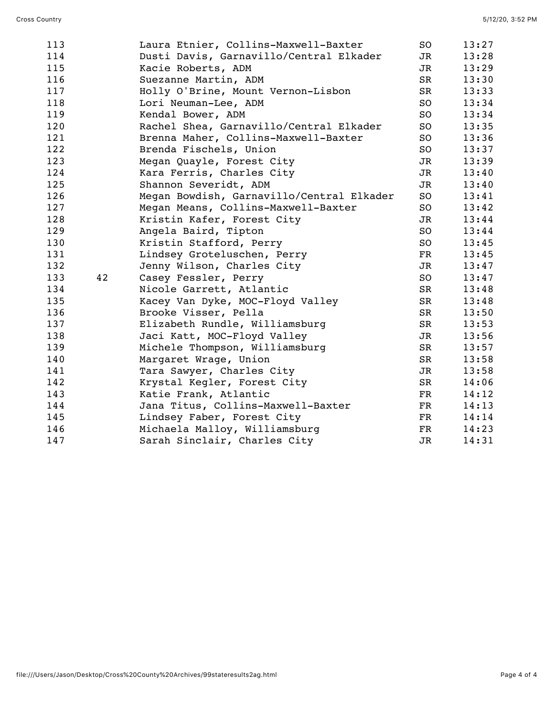| 113 |    | Laura Etnier, Collins-Maxwell-Baxter      | SO  | 13:27 |
|-----|----|-------------------------------------------|-----|-------|
| 114 |    | Dusti Davis, Garnavillo/Central Elkader   | JR  | 13:28 |
| 115 |    | Kacie Roberts, ADM                        | JR  | 13:29 |
| 116 |    | Suezanne Martin, ADM                      | SR  | 13:30 |
| 117 |    | Holly O'Brine, Mount Vernon-Lisbon        | SR  | 13:33 |
| 118 |    | Lori Neuman-Lee, ADM                      | SO  | 13:34 |
| 119 |    | Kendal Bower, ADM                         | SO  | 13:34 |
| 120 |    | Rachel Shea, Garnavillo/Central Elkader   | SO. | 13:35 |
| 121 |    | Brenna Maher, Collins-Maxwell-Baxter      | SO  | 13:36 |
| 122 |    | Brenda Fischels, Union                    | SO  | 13:37 |
| 123 |    | Megan Quayle, Forest City                 | JR  | 13:39 |
| 124 |    | Kara Ferris, Charles City                 | JR  | 13:40 |
| 125 |    | Shannon Severidt, ADM                     | JR  | 13:40 |
| 126 |    | Megan Bowdish, Garnavillo/Central Elkader | SO  | 13:41 |
| 127 |    | Megan Means, Collins-Maxwell-Baxter       | SO  | 13:42 |
| 128 |    | Kristin Kafer, Forest City                | JR  | 13:44 |
| 129 |    | Angela Baird, Tipton                      | SO  | 13:44 |
| 130 |    | Kristin Stafford, Perry                   | SO  | 13:45 |
| 131 |    | Lindsey Groteluschen, Perry               | FR  | 13:45 |
| 132 |    | Jenny Wilson, Charles City                | JR  | 13:47 |
| 133 | 42 | Casey Fessler, Perry                      | SO  | 13:47 |
| 134 |    | Nicole Garrett, Atlantic                  | SR  | 13:48 |
| 135 |    | Kacey Van Dyke, MOC-Floyd Valley          | SR  | 13:48 |
| 136 |    | Brooke Visser, Pella                      | SR  | 13:50 |
| 137 |    | Elizabeth Rundle, Williamsburg            | SR  | 13:53 |
| 138 |    | Jaci Katt, MOC-Floyd Valley               | JR  | 13:56 |
| 139 |    | Michele Thompson, Williamsburg            | SR  | 13:57 |
| 140 |    | Margaret Wrage, Union                     | SR  | 13:58 |
| 141 |    | Tara Sawyer, Charles City                 | JR  | 13:58 |
| 142 |    | Krystal Kegler, Forest City               | SR  | 14:06 |
| 143 |    | Katie Frank, Atlantic                     | FR  | 14:12 |
| 144 |    | Jana Titus, Collins-Maxwell-Baxter        | FR  | 14:13 |
| 145 |    | Lindsey Faber, Forest City                | FR  | 14:14 |
| 146 |    | Michaela Malloy, Williamsburg             | FR  | 14:23 |
| 147 |    | Sarah Sinclair, Charles City              | JR  | 14:31 |
|     |    |                                           |     |       |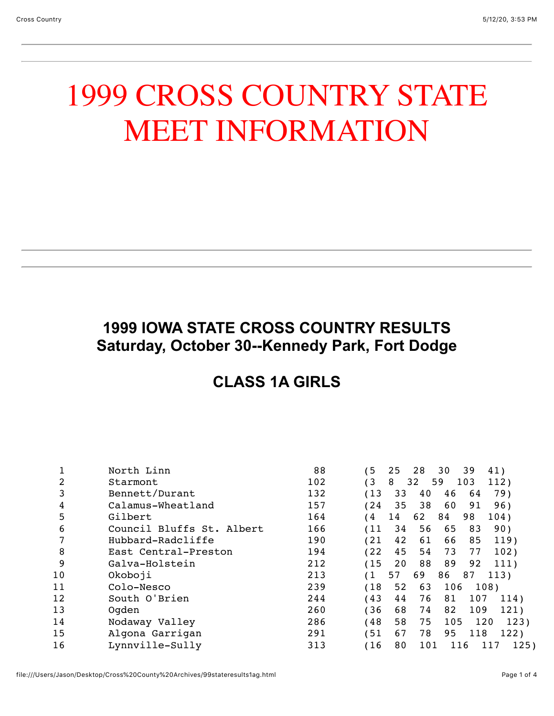# 1999 CROSS COUNTRY STATE MEET INFORMATION

## **1999 IOWA STATE CROSS COUNTRY RESULTS Saturday, October 30--Kennedy Park, Fort Dodge**

## **CLASS 1A GIRLS**

|    | North Linn                | 88  | 5   | 25 | 28  | 30<br>39  | 41)         |
|----|---------------------------|-----|-----|----|-----|-----------|-------------|
| 2  | Starmont                  | 102 | (3  | 8  | 32  | 103<br>59 | 112)        |
| 3  | Bennett/Durant            | 132 | 13  | 33 | 40  | 46<br>64  | 79)         |
| 4  | Calamus-Wheatland         | 157 | 24  | 35 | 38  | 60<br>91  | 96)         |
| 5  | Gilbert                   | 164 | 4   | 14 | 62  | 84<br>98  | 104)        |
| 6  | Council Bluffs St. Albert | 166 | 11  | 34 | 56  | 65<br>83  | 90)         |
|    | Hubbard-Radcliffe         | 190 | 121 | 42 | 61  | 66<br>85  | 119)        |
| 8  | East Central-Preston      | 194 | 122 | 45 | 54  | 77<br>73  | 102)        |
| 9  | Galva-Holstein            | 212 | 15) | 20 | 88  | 89<br>92  | 111)        |
| 10 | Okoboji                   | 213 | (1  | 57 | 69  | 86<br>87  | 113)        |
| 11 | Colo-Nesco                | 239 | (18 | 52 | 63  | 106       | 108)        |
| 12 | South O'Brien             | 244 | 43  | 44 | 76  | 81<br>107 | 114)        |
| 13 | Ogden                     | 260 | 36  | 68 | 74  | 82<br>109 | 121)        |
| 14 | Nodaway Valley            | 286 | 148 | 58 | 75  | 105       | 123)<br>120 |
| 15 | Algona Garrigan           | 291 | 51  | 67 | 78  | 118<br>95 | 122)        |
| 16 | Lynnville-Sully           | 313 | 16  | 80 | 101 | 116       | 125)<br>117 |
|    |                           |     |     |    |     |           |             |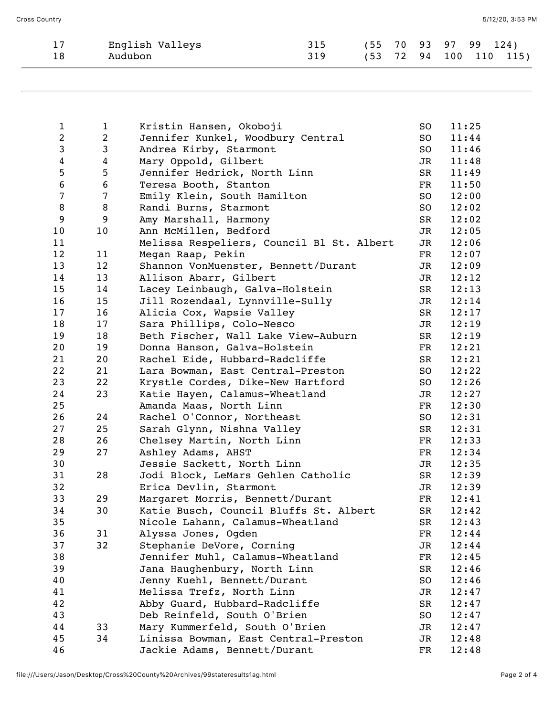| English Valleys |     |  |  | (55 70 93 97 99 124) |                        |
|-----------------|-----|--|--|----------------------|------------------------|
| Audubon         | 319 |  |  |                      | (53 72 94 100 110 115) |

| $\mathbf{1}$            | $\mathbf{1}$   | Kristin Hansen, Okoboji                   | SO                       | 11:25 |
|-------------------------|----------------|-------------------------------------------|--------------------------|-------|
| $\overline{c}$          | $\overline{a}$ | Jennifer Kunkel, Woodbury Central         | SO                       | 11:44 |
| $\mathsf 3$             | 3              | Andrea Kirby, Starmont                    | SO                       | 11:46 |
| $\overline{\mathbf{4}}$ | $\overline{4}$ | Mary Oppold, Gilbert                      | JR                       | 11:48 |
| 5                       | 5              | Jennifer Hedrick, North Linn              | SR                       | 11:49 |
| $\bf 6$                 | 6              | Teresa Booth, Stanton                     | FR                       | 11:50 |
| 7                       | 7              | Emily Klein, South Hamilton               | SO                       | 12:00 |
| $\, 8$                  | 8              | Randi Burns, Starmont                     | SO                       | 12:02 |
| $\boldsymbol{9}$        | 9              | Amy Marshall, Harmony                     | SR                       | 12:02 |
| $10$                    | 10             | Ann McMillen, Bedford                     | JR                       | 12:05 |
| 11                      |                | Melissa Respeliers, Council Bl St. Albert | JR                       | 12:06 |
| 12                      | 11             | Megan Raap, Pekin                         | FR                       | 12:07 |
| 13                      | 12             | Shannon VonMuenster, Bennett/Durant       | JR                       | 12:09 |
| 14                      | 13             | Allison Abarr, Gilbert                    | JR                       | 12:12 |
| 15                      | 14             | Lacey Leinbaugh, Galva-Holstein           | SR                       | 12:13 |
| 16                      | 15             | Jill Rozendaal, Lynnville-Sully           | JR                       | 12:14 |
| 17                      | 16             | Alicia Cox, Wapsie Valley                 | SR                       | 12:17 |
| 18                      | 17             | Sara Phillips, Colo-Nesco                 | JR                       | 12:19 |
| 19                      | 18             | Beth Fischer, Wall Lake View-Auburn       | SR                       | 12:19 |
| 20                      | 19             | Donna Hanson, Galva-Holstein              | FR                       | 12:21 |
| 21                      | 20             | Rachel Eide, Hubbard-Radcliffe            | SR                       | 12:21 |
| 22                      | 21             | Lara Bowman, East Central-Preston         | SO                       | 12:22 |
| 23                      | 22             | Krystle Cordes, Dike-New Hartford         | SO                       | 12:26 |
| 24                      | 23             | Katie Hayen, Calamus-Wheatland            | JR                       | 12:27 |
| 25                      |                | Amanda Maas, North Linn                   | $\mathbf{FR}$            | 12:30 |
| 26                      | 24             |                                           | SO                       | 12:31 |
|                         |                | Rachel O'Connor, Northeast                |                          |       |
| 27                      | 25             | Sarah Glynn, Nishna Valley                | SR                       | 12:31 |
| 28                      | 26             | Chelsey Martin, North Linn                | $\overline{\mathrm{FR}}$ | 12:33 |
| 29                      | 27             | Ashley Adams, AHST                        | FR                       | 12:34 |
| 30                      |                | Jessie Sackett, North Linn                | JR                       | 12:35 |
| 31                      | 28             | Jodi Block, LeMars Gehlen Catholic        | SR                       | 12:39 |
| 32                      |                | Erica Devlin, Starmont                    | JR                       | 12:39 |
| 33                      | 29             | Margaret Morris, Bennett/Durant           | FR                       | 12:41 |
| 34                      | 30             | Katie Busch, Council Bluffs St. Albert    | SR                       | 12:42 |
| 35                      |                | Nicole Lahann, Calamus-Wheatland          | SR                       | 12:43 |
| 36                      | 31             | Alyssa Jones, Ogden                       | FR                       | 12:44 |
| 37                      | 32             | Stephanie DeVore, Corning                 | JR                       | 12:44 |
| 38                      |                | Jennifer Muhl, Calamus-Wheatland          | FR                       | 12:45 |
| 39                      |                | Jana Haughenbury, North Linn              | SR                       | 12:46 |
| 40                      |                | Jenny Kuehl, Bennett/Durant               | SO                       | 12:46 |
| 41                      |                | Melissa Trefz, North Linn                 | JR                       | 12:47 |
| 42                      |                | Abby Guard, Hubbard-Radcliffe             | SR                       | 12:47 |
| 43                      |                | Deb Reinfeld, South O'Brien               | SO                       | 12:47 |
| 44                      | 33             | Mary Kummerfeld, South O'Brien            | JR                       | 12:47 |
| 45                      | 34             | Linissa Bowman, East Central-Preston      | JR                       | 12:48 |
| 46                      |                | Jackie Adams, Bennett/Durant              | FR                       | 12:48 |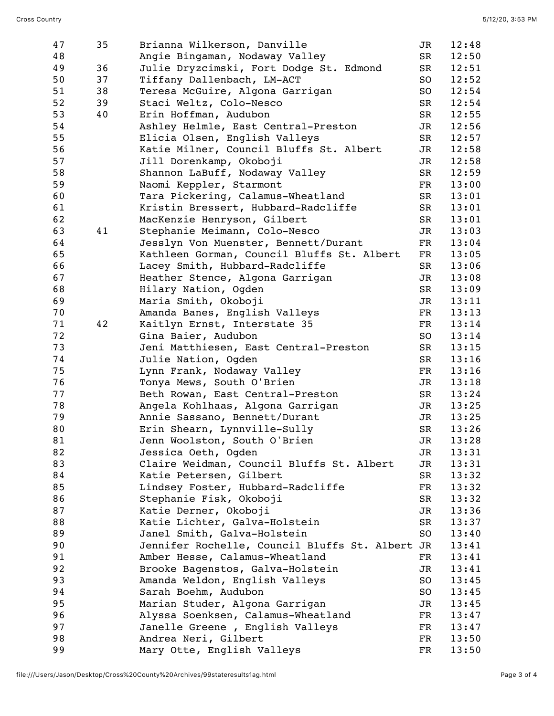| 47 | 35 | Brianna Wilkerson, Danville                     | JR          | 12:48 |
|----|----|-------------------------------------------------|-------------|-------|
| 48 |    | Angie Bingaman, Nodaway Valley                  | SR          | 12:50 |
| 49 | 36 | Julie Dryzcimski, Fort Dodge St. Edmond         | SR          | 12:51 |
| 50 | 37 | Tiffany Dallenbach, LM-ACT                      | SO          | 12:52 |
| 51 | 38 | Teresa McGuire, Algona Garrigan                 | SO          | 12:54 |
| 52 | 39 | Staci Weltz, Colo-Nesco                         | SR          | 12:54 |
| 53 | 40 | Erin Hoffman, Audubon                           | SR          | 12:55 |
| 54 |    | Ashley Helmle, East Central-Preston             | JR          | 12:56 |
| 55 |    | Elicia Olsen, English Valleys                   | SR          | 12:57 |
| 56 |    | Katie Milner, Council Bluffs St. Albert         | JR          | 12:58 |
| 57 |    | Jill Dorenkamp, Okoboji                         | JR          | 12:58 |
| 58 |    | Shannon LaBuff, Nodaway Valley                  | SR          | 12:59 |
| 59 |    | Naomi Keppler, Starmont                         | FR          | 13:00 |
| 60 |    | Tara Pickering, Calamus-Wheatland               | SR          | 13:01 |
| 61 |    | Kristin Bressert, Hubbard-Radcliffe             | SR          | 13:01 |
| 62 |    | MacKenzie Henryson, Gilbert                     | SR          | 13:01 |
| 63 | 41 | Stephanie Meimann, Colo-Nesco                   | JR          | 13:03 |
| 64 |    | Jesslyn Von Muenster, Bennett/Durant            | FR          | 13:04 |
| 65 |    | Kathleen Gorman, Council Bluffs St. Albert      | $_{\rm FR}$ | 13:05 |
| 66 |    | Lacey Smith, Hubbard-Radcliffe                  | SR          | 13:06 |
| 67 |    | Heather Stence, Algona Garrigan                 | JR          | 13:08 |
| 68 |    | Hilary Nation, Ogden                            | SR          | 13:09 |
| 69 |    | Maria Smith, Okoboji                            | JR          | 13:11 |
| 70 |    | Amanda Banes, English Valleys                   | FR          | 13:13 |
| 71 | 42 | Kaitlyn Ernst, Interstate 35                    | FR          | 13:14 |
| 72 |    | Gina Baier, Audubon                             | SO          | 13:14 |
| 73 |    | Jeni Matthiesen, East Central-Preston           | SR          | 13:15 |
| 74 |    | Julie Nation, Ogden                             | SR          | 13:16 |
| 75 |    | Lynn Frank, Nodaway Valley                      | FR          | 13:16 |
| 76 |    | Tonya Mews, South O'Brien                       | JR          | 13:18 |
| 77 |    | Beth Rowan, East Central-Preston                | SR          | 13:24 |
| 78 |    | Angela Kohlhaas, Algona Garrigan                | JR          | 13:25 |
| 79 |    | Annie Sassano, Bennett/Durant                   | JR          | 13:25 |
| 80 |    | Erin Shearn, Lynnville-Sully                    | SR          | 13:26 |
| 81 |    |                                                 |             |       |
|    |    | Jenn Woolston, South O'Brien                    | JR          | 13:28 |
| 82 |    | Jessica Oeth, Ogden                             | JR          | 13:31 |
| 83 |    | Claire Weidman, Council Bluffs St. Albert       | JR          | 13:31 |
| 84 |    | Katie Petersen, Gilbert                         | SR          | 13:32 |
| 85 |    | Lindsey Foster, Hubbard-Radcliffe               | FR          | 13:32 |
| 86 |    | Stephanie Fisk, Okoboji                         | SR          | 13:32 |
| 87 |    | Katie Derner, Okoboji                           | JR          | 13:36 |
| 88 |    | Katie Lichter, Galva-Holstein                   | SR          | 13:37 |
| 89 |    | Janel Smith, Galva-Holstein                     | SO          | 13:40 |
| 90 |    | Jennifer Rochelle, Council Bluffs St. Albert JR |             | 13:41 |
| 91 |    | Amber Hesse, Calamus-Wheatland                  | FR          | 13:41 |
| 92 |    | Brooke Bagenstos, Galva-Holstein                | JR          | 13:41 |
| 93 |    | Amanda Weldon, English Valleys                  | SO          | 13:45 |
| 94 |    | Sarah Boehm, Audubon                            | SO          | 13:45 |
| 95 |    | Marian Studer, Algona Garrigan                  | JR          | 13:45 |
| 96 |    | Alyssa Soenksen, Calamus-Wheatland              | FR          | 13:47 |
| 97 |    | Janelle Greene, English Valleys                 | FR          | 13:47 |
| 98 |    | Andrea Neri, Gilbert                            | FR          | 13:50 |
| 99 |    | Mary Otte, English Valleys                      | FR          | 13:50 |